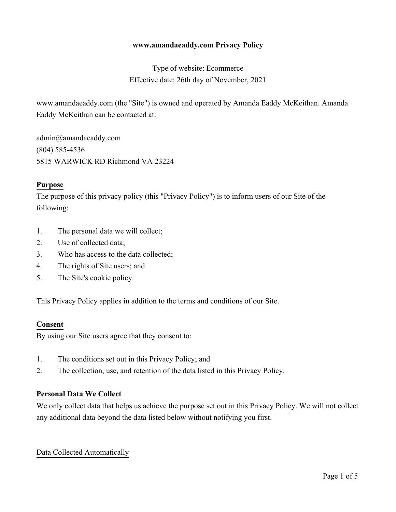#### **www.amandaeaddy.com Privacy Policy**

# Type of website: Ecommerce Effective date: 26th day of November, 2021

www.amandaeaddy.com (the "Site") is owned and operated by Amanda Eaddy McKeithan. Amanda Eaddy McKeithan can be contacted at:

admin@amandaeaddy.com (804) 585-4536 5815 WARWICK RD Richmond VA 23224

#### **Purpose**

The purpose of this privacy policy (this "Privacy Policy") is to inform users of our Site of the following:

- 1. The personal data we will collect;
- 2. Use of collected data;
- 3. Who has access to the data collected;
- 4. The rights of Site users; and
- 5. The Site's cookie policy.

This Privacy Policy applies in addition to the terms and conditions of our Site.

#### **Consent**

By using our Site users agree that they consent to:

- 1. The conditions set out in this Privacy Policy; and
- 2. The collection, use, and retention of the data listed in this Privacy Policy.

#### **Personal Data We Collect**

We only collect data that helps us achieve the purpose set out in this Privacy Policy. We will not collect any additional data beyond the data listed below without notifying you first.

#### Data Collected Automatically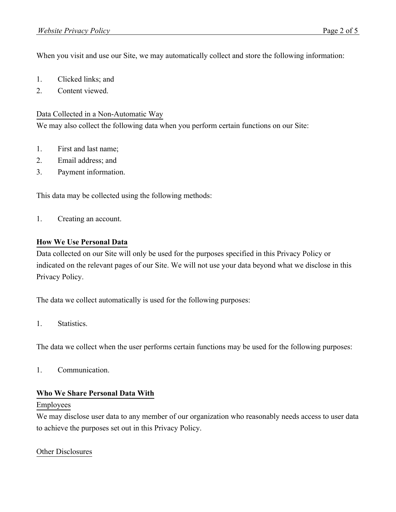When you visit and use our Site, we may automatically collect and store the following information:

- 1. Clicked links; and
- 2. Content viewed.

# Data Collected in a Non-Automatic Way

We may also collect the following data when you perform certain functions on our Site:

- 1. First and last name;
- 2. Email address; and
- 3. Payment information.

This data may be collected using the following methods:

1. Creating an account.

# **How We Use Personal Data**

Data collected on our Site will only be used for the purposes specified in this Privacy Policy or indicated on the relevant pages of our Site. We will not use your data beyond what we disclose in this Privacy Policy.

The data we collect automatically is used for the following purposes:

1. Statistics.

The data we collect when the user performs certain functions may be used for the following purposes:

1. Communication.

### **Who We Share Personal Data With**

### Employees

We may disclose user data to any member of our organization who reasonably needs access to user data to achieve the purposes set out in this Privacy Policy.

### Other Disclosures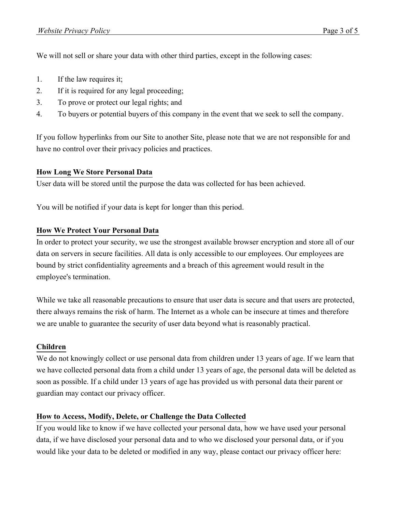We will not sell or share your data with other third parties, except in the following cases:

- 1. If the law requires it;
- 2. If it is required for any legal proceeding;
- 3. To prove or protect our legal rights; and
- 4. To buyers or potential buyers of this company in the event that we seek to sell the company.

If you follow hyperlinks from our Site to another Site, please note that we are not responsible for and have no control over their privacy policies and practices.

# **How Long We Store Personal Data**

User data will be stored until the purpose the data was collected for has been achieved.

You will be notified if your data is kept for longer than this period.

# **How We Protect Your Personal Data**

In order to protect your security, we use the strongest available browser encryption and store all of our data on servers in secure facilities. All data is only accessible to our employees. Our employees are bound by strict confidentiality agreements and a breach of this agreement would result in the employee's termination.

While we take all reasonable precautions to ensure that user data is secure and that users are protected, there always remains the risk of harm. The Internet as a whole can be insecure at times and therefore we are unable to guarantee the security of user data beyond what is reasonably practical.

### **Children**

We do not knowingly collect or use personal data from children under 13 years of age. If we learn that we have collected personal data from a child under 13 years of age, the personal data will be deleted as soon as possible. If a child under 13 years of age has provided us with personal data their parent or guardian may contact our privacy officer.

# **How to Access, Modify, Delete, or Challenge the Data Collected**

If you would like to know if we have collected your personal data, how we have used your personal data, if we have disclosed your personal data and to who we disclosed your personal data, or if you would like your data to be deleted or modified in any way, please contact our privacy officer here: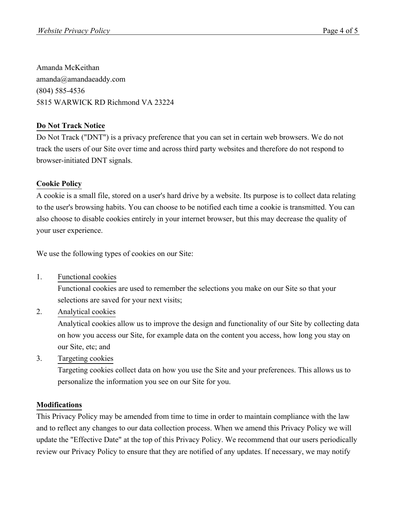Amanda McKeithan amanda@amandaeaddy.com (804) 585-4536 5815 WARWICK RD Richmond VA 23224

# **Do Not Track Notice**

Do Not Track ("DNT") is a privacy preference that you can set in certain web browsers. We do not track the users of our Site over time and across third party websites and therefore do not respond to browser-initiated DNT signals.

# **Cookie Policy**

A cookie is a small file, stored on a user's hard drive by a website. Its purpose is to collect data relating to the user's browsing habits. You can choose to be notified each time a cookie is transmitted. You can also choose to disable cookies entirely in your internet browser, but this may decrease the quality of your user experience.

We use the following types of cookies on our Site:

1. Functional cookies

Functional cookies are used to remember the selections you make on our Site so that your selections are saved for your next visits;

2. Analytical cookies

Analytical cookies allow us to improve the design and functionality of our Site by collecting data on how you access our Site, for example data on the content you access, how long you stay on our Site, etc; and

3. Targeting cookies

Targeting cookies collect data on how you use the Site and your preferences. This allows us to personalize the information you see on our Site for you.

# **Modifications**

This Privacy Policy may be amended from time to time in order to maintain compliance with the law and to reflect any changes to our data collection process. When we amend this Privacy Policy we will update the "Effective Date" at the top of this Privacy Policy. We recommend that our users periodically review our Privacy Policy to ensure that they are notified of any updates. If necessary, we may notify